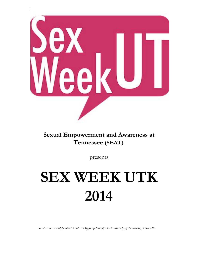

# **Sexual Empowerment and Awareness at Tennessee (SEAT)**

presents

# **SEX WEEK UTK 2014**

*SEAT is an Independent Student Organization of The University of Tennessee, Knoxville.*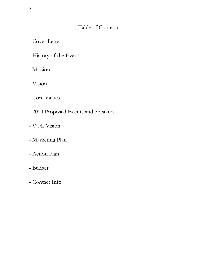# Table of Contents

- Cover Letter
- History of the Event
- Mission
- Vision
- Core Values
- 2014 Proposed Events and Speakers
- VOL Vision
- Marketing Plan
- Action Plan
- Budget
- Contact Info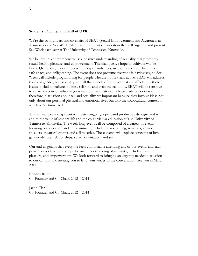#### **Students, Faculty, and Staff of UTK!**

We're the co-founders and co-chairs of SEAT (Sexual Empowerment and Awareness at Tennessee) and Sex Week. SEAT is the student organization that will organize and present Sex Week each year at The University of Tennessee, Knoxville.

We believe in a comprehensive, sex-positive understanding of sexuality that promotes sexual health, pleasure, and empowerment. The dialogue we hope to cultivate will be LGBTQ-friendly, relevant to a wide array of audiences, medically accurate, held in a safe-space, and enlightening. The event does not presume everyone is having sex, so Sex Week will include programming for people who are not sexually active. SEAT will address issues of gender, sex, sexuality, and all the aspects of our lives that are affected by these issues, including culture, politics, religion, and even the economy. SEAT will be sensitive to sexual discourse within larger issues. Sex has historically been a site of oppression; therefore, discussion about sex and sexuality are important because they involve ideas not only about our personal physical and emotional lives but also the sociocultural context in which we're immersed.

This annual week-long event will foster ongoing, open, and productive dialogue and will add to the value of student life and the co-curricular education at The University of Tennessee, Knoxville. The week-long event will be composed of a variety of events focusing on education and entertainment, including basic tabling, seminars, keynote speakers, theatrical events, and a film series. These events will explore concepts of love, gender identity, relationships, sexual orientation, and sex.

Our end-all goal is that everyone feels comfortable attending any of our events and each person leaves having a comprehensive understanding of sexuality, including health, pleasure, and empowerment. We look forward to bringing an urgently needed discussion to our campus and inviting you to lend your voices to the conversation! See you in March 2014!

Brianna Rader Co-Founder and Co-Chair, 2012 – 2014

Jacob Clark Co-Founder and Co-Chair, 2012 – 2014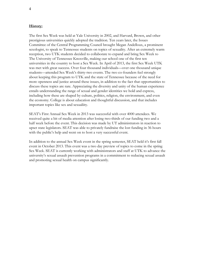#### **History:**

The first Sex Week was held at Yale University in 2002, and Harvard, Brown, and other prestigious universities quickly adopted the tradition. Ten years later, the Issues Committee of the Central Programming Council brought Megan Andelloux, a prominent sexologist, to speak to Tennessee students on topics of sexuality. After an extremely warm reception, two UTK students decided to collaborate to expand and bring Sex Week to The University of Tennessee Knoxville, making our school one of the first ten universities in the country to host a Sex Week. In April of 2013, the first Sex Week UTK was met with great success. Over four thousand individuals—over one thousand unique students—attended Sex Week's thirty-two events. The two co-founders feel strongly about keeping this program to UTK and the state of Tennessee because of the need for more openness and justice around these issues, in addition to the fact that opportunities to discuss these topics are rare. Appreciating the diversity and unity of the human experience entails understanding the range of sexual and gender identities we hold and express, including how these are shaped by culture, politics, religion, the environment, and even the economy. College is about education and thoughtful discussion, and that includes important topics like sex and sexualiity.

SEAT's First Annual Sex Week in 2013 was successful with over 4000 attendees. We received quite a bit of media attention after losing two-thirds of our funding two and a half week before the event. This decision was made by UT administrators in reaction to upset state legislators. SEAT was able to privately fundraise the lost funding in 36 hours with the public's help and went on to host a very successful event.

In addition to the annual Sex Week event in the spring semester, SEAT held it's first fall event in October 2013. This event was a two day preview of topics to come in the spring Sex Week. SEAT is currently working with administrators and staff at UTK to advance the university's sexual assault prevention programs in a commitment to reducing sexual assault and promoting sexual health on campus significantly.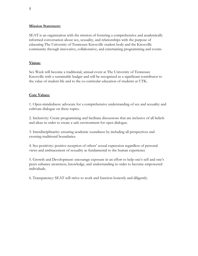#### **Mission Statement:**

SEAT is an organization with the mission of fostering a comprehensive and academically informed conversation about sex, sexuality, and relationships with the purpose of educating The University of Tennessee Knoxville student body and the Knoxville community through innovative, collaborative, and entertaining programming and events.

#### **Vision:**

Sex Week will become a traditional, annual event at The University of Tennessee Knoxville with a sustainable budget and will be recognized as a significant contributor to the value of student life and to the co-curricular education of students at UTK.

## **Core Values:**

1. Open-mindedness: advocate for a comprehensive understanding of sex and sexuality and cultivate dialogue on these topics.

2. Inclusivity: Create programming and facilitate discussions that are inclusive of all beliefs and ideas in order to create a safe environment for open dialogue.

3. Interdisciplinarity: ensuring academic soundness by including all perspectives and crossing traditional boundaries.

4. Sex-positivity: positive reception of others' sexual expression regardless of personal views and embracement of sexuality as fundamental to the human experience

5. Growth and Development: encourage exposure in an effort to help one's self and one's peers enhance awareness, knowledge, and understanding in order to become empowered individuals.

6. Transparency: SEAT will strive to work and function honestly and diligently.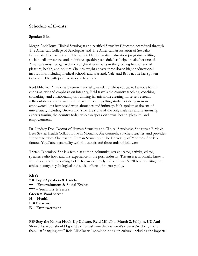# **Schedule of Events:**

#### **Speaker Bios**

Megan Andelloux: Clinical Sexologist and certified Sexuality Educator, accredited through The American College of Sexologists and The American Association of Sexuality Educators, Counselors, and Therapists. Her innovative education programs, writing, social media presence, and ambitious speaking schedule has helped make her one of America's most recognized and sought-after experts in the growing field of sexual pleasure, health, and politics. She has taught at over three dozen higher educational institutions, including medical schools and Harvard, Yale, and Brown. She has spoken twice at UTK with positive student feedback.

Reid Mihalko: A nationally renown sexuality & relationships educator. Famous for his charisma, wit and emphasis on integrity, Reid travels the country teaching, coaching, consulting, and collaborating on fulfilling his missions: creating more self-esteem, self-confidence and sexual health for adults and getting students talking in more empowered, less fear-based ways about sex and intimacy. He's spoken at dozens of universities, including Brown and Yale. He's one of the only male sex and relationship experts touring the country today who can speak on sexual health, pleasure, and empowerment.

Dr. Lindsey Doe: Doctor of Human Sexuality and Clinical Sexologist. She runs a Birds & Bees Sexual Health Collaborative in Montana. She counsels, coaches, teaches, and provides support services. She teaches Human Sexuality at The University of Montana. She is a famous YouTube personality with thousands and thousands of followers.

Tristan Taormino: She is a feminist author, columnist, sex educator, activist, editor, speaker, radio host, and has experience in the porn industry. Tristan is a nationally known sex educator and is coming to UT for an extremely reduced rate. She'll be discussing the ethics, history, psychological and social effects of pornography.

## **KEY: \* = Topic Speakers & Panels \*\* = Entertainment & Social Events \*\*\* = Seminars & Series Green = Food served H = Health P = Pleasure E = Empowerment**

**PE\*Stay the Night: Hook-Up Culture, Reid Mihalko, March 2, 5:00pm, UC Aud** - Should I stay, or should I go? We often ask ourselves when it's clear we're doing more than just "hanging out." Reid Mihalko will speak on hook-up culture, including the impacts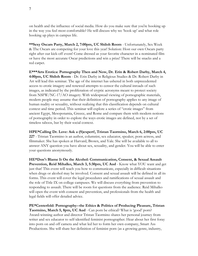on health and the influence of social media. How do you make sure that you're hooking up in the way you feel most comfortable? He will discuss why we 'hook up' and what role hooking up plays in campus life.

**\*\*Sexy Oscars Party, March 2, 7:00pm, UC Shiloh Room** - Unfortunately, Sex Week & The Oscars are competing for your love this year! Solution: Host our own Oscars party right after our kick-off event! Come dressed as your favorite character in a nominated film or have the most accurate Oscar predictions and win a prize! There will be snacks and a red carpet.

**E\*\*\*Arts Erotica: Pornography Then and Now, Dr. Erin & Robert Darby, March 4, 4:00pm, UC Shiloh Room** - Dr. Erin Darby in Religious Studies & Dr. Robert Darby in Art will lead this seminar. The age of the internet has ushered in both unprecedented access to erotic imagery and renewed attempts to censor the cultural inroads of such images, as indicated by the proliferation of cryptic acronyms meant to protect society from NSFW/NC-17/AO imagery. With widespread viewing of pornographic materials, modern people may assume that their definition of pornography applies to any image of human nudity or sexuality, without realizing that this classification depends on cultural context and time period. This seminar will explore a series of "erotic images" from ancient Egypt, Mesopotamia, Greece, and Rome and compare them with modern notions of pornography in order to explore the ways erotic images are defined, not by a set of timeless taboos, but by their social context.

**HPE\*Calling Dr. Love: Ask a (S)expert!, Tristan Taormino, March 6, 2:00pm, UC 227** - Tristan Taormino is an author, columnist, sex educator, speaker, porn actress, and filmmaker. She has spoken at Harvard, Brown, and Yale. She will be available to all to answer ANY question you have about sex, sexuality, and gender. You will be able to enter your questions anonymously.

**HE\*Don't Blame It On the Alcohol: Communication, Consent, & Sexual Assault Prevention, Reid Mihalko, March 3, 5:30pm, UC Aud** - Know what YOU want and get just that! This event will teach you how to communicate, especially in difficult situations when drugs or alcohol may be involved. Consent and sexual assault will be defined in all its forms. This event will cover the legal procedures and ramifications of sexual assault and the role of Title IX on college campuses. We will discuss everything from prevention to responding to assault. There will be room for questions from the audience. Reid Mihalko will open the event with consent and prevention, and professionals from the health and legal fields will offer detailed advice.

**PE\*Centerfold: Pornography--the Ethics & Politics of Producing Pleasure, Tristan Taormino, March 5, 8pm, UC Aud** - Can porn be ethical? What is 'good' porn? Award-winning author and director Tristan Taormino shares her personal journey from writer and sex educator to self-identified feminist pornographer. Hear about her first foray into porn on and off camera and what led her to form her own company, Smart Ass Productions. She will share her definition of feminist porn (as a growing genre, industry,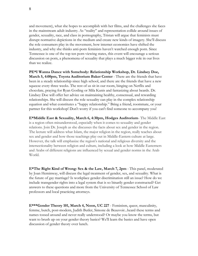and movement), what she hopes to accomplish with her films, and the challenges she faces in the mainstream adult industry. As "reality" and representation collide around issues of gender, sexuality, race, and class in pornography, Tristan will argue that feminists must disrupt normative depictions in the medium and create new kinds of imagery. She'll discuss the role consumers play in the movement, how internet economies have shifted the industry, and why she thinks anti-porn feminists haven't watched enough porn. Since Tennessee is one of the top ten porn viewing states, this event will encourage a serious discussion on porn, a phenomena of sexuality that plays a much bigger role in our lives than we realize.

**PE\*I Wanna Dance with Somebody: Relationship Workshop, Dr. Lindsey Doe, March 5, 4:00pm, Toyota Auditorium Baker Center** - There are the friends that have been in a steady relationship since high school, and there are the friends that have a new squeeze every three weeks. The rest of us sit in our room, binging on Netflix and chocolate, praying for Ryan Gosling or Mila Kunis and fantasizing about beards. Dr. Lindsey Doe will offer her advice on maintaining healthy, consensual, and rewarding relationships. She will discuss the role sexuality can play in the complex relationship equation and what constitutes a "happy relationship." Bring a friend, roommate, or your partner for this workshop! Don't worry if you can't find someone to accompany you!

**E\*Middle East & Sexuality, March 6, 4:30pm, Hodges Auditorium**- The Middle East is a region often misunderstood, especially when it comes to sexuality and gender relations. Join Dr. Joseph as she discusses the facts about sex and gender in the region. The lecture will address what Islam, the major religion in the region, really teaches about sex and gender and how those teachings play out in Middle-Eastern culture at large. However, the talk will emphasize the region's national and religious diversity and the intersectionality between religion and culture, including a look at how Middle Easterners and Arabs of different religions are influenced by sexual and gender norms in the Arab World.

**E\*The Right Kind of Wrong: Sex & the Law, March 7, 2pm** - This panel, moderated by Joan Heminway, will discuss the legal treatment of gender, sex, and sexuality. What is the future of gay marriage? Is workplace gender discrimination still an issue? How do we include transgender rights into a legal system that is so binarily gender constructed? Get answers to these questions and more from the University of Tennessee School of Law professors and local practicing attorneys.

**E\*\*\*Gender Theory 101, March 4, Noon, UC 227** - Feminism, queer, masculinity, femme, butch, post-modern, Judith Butler, Simone de Beauvoir...heard these terms and names tossed around and never really understood? Or maybe you know the terms, but want to brush up on your gender theory basics? We'll learn the basics and have open discussion of gender theory over lunch.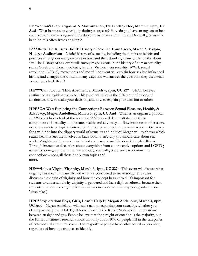**PE\*We Can't Stop: Orgasms & Masturbation, Dr. Lindsey Doe, March 5, 6pm, UC Aud** - What happens to your body during an orgasm? How do you have an orgasm or help your partner have an orgasm? How do you masturbate? Dr. Lindsey Doe will give us all a hand on this often frustrating topic.

**E\*\*\*Birds Did It, Bees Did It: History of Sex, Dr. Lynn Sacco, March 3, 3:30pm, Hodges Auditorium** - A brief history of sexuality, including the dominant beliefs and practices throughout many cultures in time and the debunking many of the myths about sex. The History of Sex event will survey major events in the history of human sexuality: sex in Greek and Roman societies, harems, Victorian era sexuality, WWII, sexual revolution, LGBTQ movements and more! The event will explain how sex has influenced history and changed the world in many ways and will answer the question: they used what as condoms back then?!

**HE\*\*\*Can't Touch This: Abstinence, March 4, 2pm, UC 227** – SEAT believes abstinence is a legitimate choice. This panel will discuss the different definitions of abstinence, how to make your decision, and how to explain your decision to others.

**HPE\*Get Wet: Exploring the Connections Between Sexual Pleasure, Health, & Advocacy, Megan Andelloux, March 3, 8pm, UC Aud** - When is an orgasm a political act? When is lube a tool of the revolution? Megan will demonstrate how three components of sexuality — pleasure, health, and advocacy — flow into one another as we explore a variety of topics centered on reproductive justice and sexual freedom. Get ready for a wild ride into the slippery world of sexuality and politics! Megan will teach you which sexual health issues are involved in back-door lovin', why you should care about sex workers' rights, and how you can defend your own sexual freedom through self-love. Through interactive discussion about everything from contraceptive options and LGBTQ issues to pornography and the human body, you will get a chance to examine the connections among all these hot-button topics and more.

**HE\*\*\*Like a Virgin: Virginity, March 6, 4pm, UC 227** – This event will discuss what virginity has meant historically and what it's considered to mean today. The event discusses the origin of virginity and how the concept has evolved. It's important for students to understand why virginity is gendered and has religious subtexts because then students can redefine virginity for themselves in a less harmful way (less gendered, less "give/take").

**HPE\*Sexploration: Boys, Girls, I can't Help It, Megan Andelloux, March 4, 8pm, UC Aud** - Megan Andelloux will lead a talk on exploring your sexuality, whether you identify as straight or LGBTQ. This will include the Kinsey Scale and all orientations between straight and gay. People believe that the straight orientation is the majority, but the Kinsey Institute's research shows that only about 10% of people fall in the categories of heterosexual and homosexual. The majority of people have other sexual experiences, regardless of how one chooses to identify.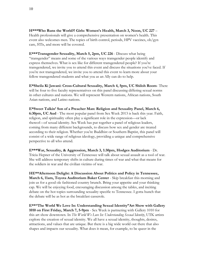**H\*\*\*Who Runs the World?! Girls: Women's Health, March 3, Noon, UC 227** – Health professionals will give a comprehensive presentation on women's health. This event also welcomes men. The topics of birth control, periods, HPV vaccines, ob/gyn care, STIs, and more will be covered.

**E\*\*\*Transgender Sexuality, March 5, 2pm, UC 226** - Discuss what being "transgender" means and some of the various ways transgender people identify and express themselves. What is sex like for different transgendered people? If you're transgendered, we invite you to attend this event and discuss the situations you've faced. If you're not transgendered, we invite you to attend this event to learn more about your fellow transgendered students and what you as an Ally can do to help.

**E\*Sheila Ki Jawani: Cross-Cultural Sexuality, March 4, 5pm, UC Shiloh Room**- There will be four to five faculty representatives on this panel discussing differing sexual norms in other cultures and nations. We will represent Western nations, African nations, South Asian nations, and Latino nations.

**E\*Sweet Talkin' Son of a Preacher Man: Religion and Sexuality Panel, March 6, 6:30pm, UC Aud** - The most popular panel from Sex Week 2013 is back this year. Faith, religion, and spirituality often play a significant role in the expression—or lack thereof—of sexual identity. Sex Week has put together a panel of religious leaders, coming from many different backgrounds, to discuss how sex and gender are treated according to their religion. Whether you're Buddhist or Southern Baptist, this panel will consist of a wide range of religious ideology, providing a unique and comprehensive perspective to all who attend.

**E\*\*\*War, Sexuality, & Aggression, March 3, 1:30pm, Hodges Auditorium** - Dr. Tricia Hepner of the University of Tennessee will talk about sexual assault as a tool of war. She will address temporary shifts in culture during times of war and what that means for the soldiers in war and the civilian victims of war.

**HE\*\*Afternoon Delight: A Discussion About Politics and Policy in Tennessee, March 6, 11am, Toyota Auditorium Baker Center** - Skip breakfast this morning and join us for a good ole fashioned country brunch. Bring your appetite and your thinking cap. We will be enjoying food, encouraging discussion among the tables, and inciting debate on the hot topics surrounding sexuality specific to Tennessee. I gotta hunch that the debate will be as hot as the breakfast casserole.

**E\*\*"The World We Love In: Understanding Sexual Identity"Art Show with Gallery 1010 on First Friday, March 7, 5-9pm** - Sex Week is partnering with Gallery 1010 for this art show downtown. In *The World We Love In: Understanding Sexual Identity*, UTK artists explore the creation of sexual identity. We all have a sexual identity, thoughts, desires, attractions, and values that are unique. But there is a big wide world out there that also shapes and impacts our sexuality. What does it mean, for example, to be queer in the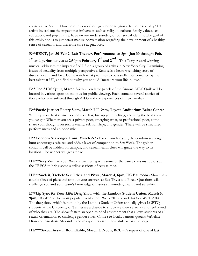conservative South? How do our views about gender or religion affect our sexuality? UT artists investigate the impact that influences such as religion, culture, family values, sex education, and pop culture, have on our understanding of our sexual identity. The goal of this exhibition is to jumpstart mature conversation regarding the development of a healthy sense of sexuality and therefore safe sex practices.

**E\*\*RENT, Jan 30-Feb 2, Lab Theater, Performances at 8pm Jan 30 through Feb. 1 st and performances at 2:30pm February 1 st and 2 nd** - This Tony Award winning musical addresses the impact of AIDS on a group of artists in New York City. Examining issues of sexuality from multiple perspectives, Rent tells a heart-wrenching story of disease, death, and love. Come watch what promises to be a stellar performance by the best talent at UT, and find out why you should "measure your life in love."

**E\*\*The AIDS Quilt, March 2-7th** - Ten large panels of the famous AIDS Quilt will be located in various spots on campus for public viewing. Each contains several stories of those who have suffered through AIDS and the experiences of their families.

**E\*\*Poetic Justice: Poetry Slam, March 7 th , 7pm, Toyota Auditorium Baker Center** - Whip up your best rhyme, loosen your lips, fire up your feelings, and sling the best slam you've got. Whether you are a private poet, emerging artist, or professional poet, come share your thoughts on sex, sexuality, relationships, and gender. There will be structured performances and an open mic.

**E\*\*Condom Scavenger Hunt, March 2-7** - Back from last year, the condom scavenger hunt encourages safe sex and adds a layer of competition to Sex Week. The golden condom will be hidden on campus, and sexual health clues will guide the way to its location. The winner will get a prize.

**HE\*\*Sexy Zumba** - Sex Week is partnering with some of the dance class instructors at the TRECS to bring some sizzling sessions of sexy zumba.

**HE\*\*Suck it, Trebek: Sex Trivia and Pizza, March 4, 6pm, UC Ballroom** - Shove in a couple slices of pizza and spit out your answers at Sex Trivia and Pizza. Questions will challenge you and your team's knowledge of issues surrounding health and sexuality.

**E\*\*Lip Sync for Your Life: Drag Show with the Lambda Student Union, March 6, 9pm, UC Aud** - The most popular event at Sex Week 2013 is back for Sex Week 2014. The drag show, which is put on by the Lambda Student Union annually, gives LGBTQ students at the University of Tennessee a chance to showcase their sexuality and feel proud of who they are. The show fosters an open-minded environment that allows students of all sexual orientations to challenge gender roles. Come see locally famous queens VaCeline Dion and Anastasia Alexander and many others strut their stuff across the stage.

**HE\*\*\*Sexual Assault Roundtable, March 5, Noon, BCC** – A repeat of one of last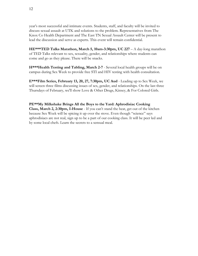year's most successful and intimate events. Students, staff, and faculty will be invited to discuss sexual assault at UTK and solutions to the problem. Representatives from The Knox Co Health Department and The East TN Sexual Assault Center will be present to lead the discussion and serve as experts. This event will remain confidential.

**HE\*\*\*TED Talks Marathon, March 5, 10am-3:30pm, UC 227** – A day-long marathon of TED Talks relevant to sex, sexuality, gender, and relationships where students can come and go as they please. There will be snacks.

**H\*\*\*Health Testing and Tabling, March 2-7** - Several local health groups will be on campus during Sex Week to provide free STI and HIV testing with health consultation.

**E\*\*\*Film Series, February 13, 20, 27, 7:30pm, UC Aud** - Leading up to Sex Week, we will screen three films discussing issues of sex, gender, and relationships. On the last three Thursdays of February, we'll show Love & Other Drugs, Kinsey, & For Colored Girls.

**PE\*\*My Milkshake Brings All the Boys to the Yard: Aphrodisiac Cooking Class, March 2, 2:30pm, I-House** - If you can't stand the heat, get out of the kitchen because Sex Week will be spicing it up over the stove. Even though "science" says aphrodisiacs are not real, sign up to be a part of our cooking class. It will be peer led and by some local chefs. Learn the secrets to a sensual meal.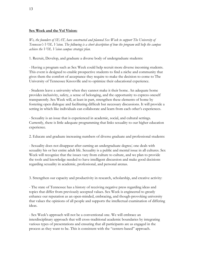#### **Sex Week and the Vol Vision:**

*We, the founders of SEAT, have constructed and planned Sex Week to support The University of Tennessee's VOL Vision. The following is a short description of how the program will help the campus achieve the VOL Vision campus strategic plan.*

1. Recruit, Develop, and graduate a diverse body of undergraduate students:

- Having a program such as Sex Week could help recruit more diverse incoming students. This event is designed to enable prospective students to find a niche and community that gives them the comfort of acceptance they require to make the decision to come to The University of Tennessee Knoxville and to optimize their educational experience.

- Students leave a university when they cannot make it their home. An adequate home provides inclusivity, safety, a sense of belonging, and the opportunity to express oneself transparently. Sex Week will, at least in part, strengthen these elements of home by fostering open dialogue and facilitating difficult but necessary discussions. It will provide a setting in which like individuals can collaborate and learn from each other's experiences.

- Sexuality is an issue that is experienced in academic, social, and cultural settings. Currently, there is little adequate programming that links sexuality to our higher education experience.

2. Educate and graduate increasing numbers of diverse graduate and professional students:

- Sexuality does not disappear after earning an undergraduate degree; one deals with sexuality his or her entire adult life. Sexuality is a public and mental issue in all cultures. Sex Week will recognize that the issues vary from culture to culture, and we plan to provide the tools and knowledge needed to have intelligent discussion and make good decisions regarding sexuality in academic, professional, and personal arenas.

3. Strengthen our capacity and productivity in research, scholarship, and creative activity:

- The state of Tennessee has a history of receiving negative press regarding ideas and topics that differ from previously accepted values. Sex Week is engineered to greatly enhance our reputation as an open-minded, embracing, and though-provoking university that values the opinions of all people and supports the intellectual examination of differing ideas.

- Sex Week's approach will not be a conventional one. We will embrace an interdisciplinary approach that will cross-traditional academic boundaries by integrating various types of presentations and ensuring that all participants are as engaged in the process as they want to be. This is consistent with the "centers-based" approach.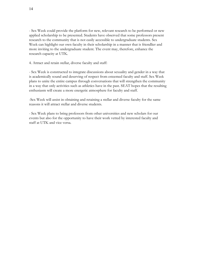- Sex Week could provide the platform for new, relevant research to be performed or new applied scholarship to be presented. Students have observed that some professors present research to the community that is not easily accessible to undergraduate students. Sex Week can highlight our own faculty in their scholarship in a manner that is friendlier and more inviting to the undergraduate student. The event may, therefore, enhance the research capacity at UTK.

4. Attract and retain stellar, diverse faculty and staff:

- Sex Week is constructed to integrate discussions about sexuality and gender in a way that is academically sound and deserving of respect from esteemed faculty and staff. Sex Week plans to unite the entire campus through conversations that will strengthen the community in a way that only activities such as athletics have in the past. SEAT hopes that the resulting enthusiasm will create a more energetic atmosphere for faculty and staff.

-Sex Week will assist in obtaining and retaining a stellar and diverse faculty for the same reasons it will attract stellar and diverse students.

- Sex Week plans to bring professors from other universities and new scholars for our events but also for the opportunity to have their work vetted by interested faculty and staff at UTK and vice versa.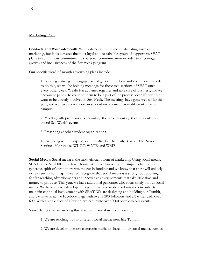#### **Marketing Plan**

**Contacts and Word-of-mouth**: Word-of-mouth is the most exhausting form of marketing, but it also creates the most loyal and sustainable group of supporters. SEAT plans to continue its commitment to personal communication in order to encourage growth and inclusiveness of the Sex Week program.

Our specific word-of-mouth advertising plans include:

1. Building a strong and engaged set of general members and volunteers. In order to do this, we will be holding meetings for these two sections of SEAT once every other week. We do fun activities together and take care of business, and we encourage people to come to them to be a part of the process, even if they do not want to be directly involved in Sex Week. The meetings have gone well so far this year, and we have seen a spike in student involvement from different areas of campus.

2. Meeting with professors to encourage them to encourage their students to attend Sex Week's events.

3. Presenting at other student organizations.

4. Partnering with newspapers and media like The Daily Beacon, The News Sentinel, Metropulse, WUOT, WATE, and WBIR.

**Social Media**: Social media is the most efficient form of marketing. Using social media, SEAT raised \$10,000 in thirty-six hours. While we know that the impetus behind the generous spirit of our donors was the cut in funding and we know that spirit will unlikely exist in such a form again, we still recognize that social media is a strong tool, allowing for far-reaching advertisements and innovative advertisements that take little time and money to produce. This year, we have additional personnel who focus solely on our social media. We have a newly developed blog and we take student submissions in order to maintain continual involvement with SEAT. We are designing and building our Tumblr, and we have an active Facebook page with over 2,200 followers and a Twitter with over 600. With a single click of a button, we can invite over 2000 people to our events.

Some changes we are making this year to our social media advertising:

1. We are reaching out to different social media sites, like Tumblr.

2. We are developing more electronic media to share on our social media, such as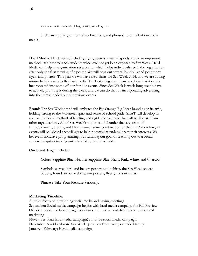video advertisements, blog posts, articles, etc.

3. We are applying our brand (colors, font, and phrases) to our all of our social media.

**Hard Media**: Hard media, including signs, posters, material goods, etc, is an important method used best to reach students who have not yet been exposed to Sex Week. Hard Media can help an organization set a brand, which helps individuals recall the organization after only the first viewing of a poster. We will pass out several handbills and post many flyers and posters. This year we will have new shirts for Sex Week 2014, and we are adding mini-schedule cards to the hard media. The best thing about hard media is that it can be incorporated into some of our fair-like events. Since Sex Week is week-long, we do have to actively promote it during the week, and we can do that by incorporating advertising into the items handed out at previous events.

**Brand**: The Sex Week brand will embrace the Big Orange Big Ideas branding in its style, holding strong to the Volunteer spirit and sense of school pride. SEAT will develop its own symbols and method of labeling and rigid color scheme that will set it apart from other organizations. All of Sex Week's topics can fall under the categories of Empowerment, Health, and Pleasure—or some combination of the three; therefore, all events will be labeled accordingly to help potential attendees locate their interests. We believe in inclusive programming, but fulfilling our goal of reaching out to a broad audience requires making our advertising more navigable.

Our brand design includes:

Colors: Sapphire Blue, Heather Sapphire Blue, Navy, Pink, White, and Charcoal.

Symbols: a small bird and bee on posters and t-shirts; the Sex Week speech bubble, found on our website, our posters, flyers, and our shirts.

Phrases: Take Your Pleasure Seriously,

#### **Marketing Timeline**:

August: Focus on developing social media and having meetings September: Social media campaign begins with hard media campaign for Fall Preview October: Social media campaign continues and recruitment drive becomes focus of marketing

November: Plan hard media campaign; continue social media campaign December: Avoid awkward Sex Week questions from weary extended family January - February: Hard media campaign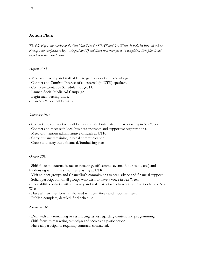# **Action Plan:**

The following is the outline of the One-Year Plan for SEAT and Sex Week. It includes items that have already been completed (May  $-$  August 2013) and items that have yet to be completed. This plan is not *rigid but is the ideal timeline.*

#### *August 2013*

- Meet with faculty and staff at UT to gain support and knowledge.
- Contact and Confirm Interest of all external (to UTK) speakers.
- Complete Tentative Schedule, Budget Plan
- Launch Social Media Ad Campaign
- Begin membership drive.
- Plan Sex Week Fall Preview

#### *September 2013*

- Contact and/or meet with all faculty and staff interested in participating in Sex Week.
- Contact and meet with local business sponsors and supportive organizations.
- Meet with various administrative officials at UTK.
- Carry out any remaining internal communication.
- Create and carry out a financial/fundraising plan

#### *October 2013*

- Shift focus to external issues (contracting, off-campus events, fundraising, etc.) and fundraising within the structures existing at UTK.

- Visit student groups and Chancellor's commissions to seek advice and financial support.
- Solicit participation of all groups who wish to have a voice in Sex Week.

- Reestablish contacts with all faculty and staff participants to work out exact details of Sex Week.

- Have all new members familiarized with Sex Week and mobilize them.
- Publish complete, detailed, final schedule.

#### *November 2013*

- Deal with any remaining or resurfacing issues regarding content and programming.
- Shift focus to marketing campaign and increasing participation.
- Have all participants requiring contracts contracted.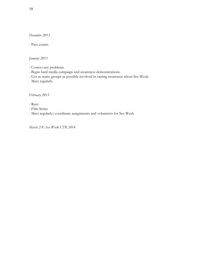#### *December 2013*

#### - Pass exams.

# *January 2013*

- Correct any problems.
- Begin hard media campaign and awareness demonstrations.
- Get as many groups as possible involved in raising awareness about Sex Week.
- Meet regularly.

# *February 2013*

- Rent
- Film Series
- Meet regularly; coordinate assignments and volunteers for Sex Week

*March 2-8: Sex Week UTK 2014*